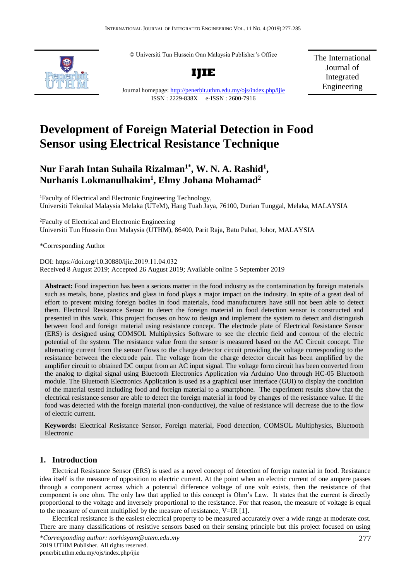© Universiti Tun Hussein Onn Malaysia Publisher's Office



**IJIE**

The International Journal of Integrated Engineering

Journal homepage:<http://penerbit.uthm.edu.my/ojs/index.php/ijie> ISSN : 2229-838X e-ISSN : 2600-7916

# **Development of Foreign Material Detection in Food Sensor using Electrical Resistance Technique**

## **Nur Farah Intan Suhaila Rizalman1\* , W. N. A. Rashid<sup>1</sup> , Nurhanis Lokmanulhakim<sup>1</sup> , Elmy Johana Mohamad<sup>2</sup>**

<sup>1</sup>Faculty of Electrical and Electronic Engineering Technology, Universiti Teknikal Malaysia Melaka (UTeM), Hang Tuah Jaya, 76100, Durian Tunggal, Melaka, MALAYSIA

<sup>2</sup>Faculty of Electrical and Electronic Engineering Universiti Tun Hussein Onn Malaysia (UTHM), 86400, Parit Raja, Batu Pahat, Johor, MALAYSIA

\*Corresponding Author

DOI: https://doi.org/10.30880/ijie.2019.11.04.032 Received 8 August 2019; Accepted 26 August 2019; Available online 5 September 2019

**Abstract:** Food inspection has been a serious matter in the food industry as the contamination by foreign materials such as metals, bone, plastics and glass in food plays a major impact on the industry. In spite of a great deal of effort to prevent mixing foreign bodies in food materials, food manufacturers have still not been able to detect them. Electrical Resistance Sensor to detect the foreign material in food detection sensor is constructed and presented in this work. This project focuses on how to design and implement the system to detect and distinguish between food and foreign material using resistance concept. The electrode plate of Electrical Resistance Sensor (ERS) is designed using COMSOL Multiphysics Software to see the electric field and contour of the electric potential of the system. The resistance value from the sensor is measured based on the AC Circuit concept. The alternating current from the sensor flows to the charge detector circuit providing the voltage corresponding to the resistance between the electrode pair. The voltage from the charge detector circuit has been amplified by the amplifier circuit to obtained DC output from an AC input signal. The voltage form circuit has been converted from the analog to digital signal using Bluetooth Electronics Application via Arduino Uno through HC-05 Bluetooth module. The Bluetooth Electronics Application is used as a graphical user interface (GUI) to display the condition of the material tested including food and foreign material to a smartphone. The experiment results show that the electrical resistance sensor are able to detect the foreign material in food by changes of the resistance value. If the food was detected with the foreign material (non-conductive), the value of resistance will decrease due to the flow of electric current.

**Keywords:** Electrical Resistance Sensor, Foreign material, Food detection, COMSOL Multiphysics, Bluetooth Electronic

## **1. Introduction**

Electrical Resistance Sensor (ERS) is used as a novel concept of detection of foreign material in food. Resistance idea itself is the measure of opposition to electric current. At the point when an electric current of one ampere passes through a component across which a potential difference voltage of one volt exists, then the resistance of that component is one ohm. The only law that applied to this concept is Ohm's Law. It states that the current is directly proportional to the voltage and inversely proportional to the resistance. For that reason, the measure of voltage is equal to the measure of current multiplied by the measure of resistance,  $V=IR [1]$ .

Electrical resistance is the easiest electrical property to be measured accurately over a wide range at moderate cost. There are many classifications of resistive sensors based on their sensing principle but this project focused on using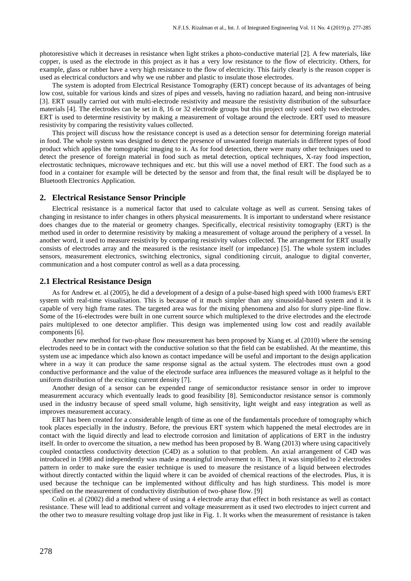photoresistive which it decreases in resistance when light strikes a photo-conductive material [2]. A few materials, like copper, is used as the electrode in this project as it has a very low resistance to the flow of electricity. Others, for example, glass or rubber have a very high resistance to the flow of electricity. This fairly clearly is the reason copper is used as electrical conductors and why we use rubber and plastic to insulate those electrodes.

The system is adopted from Electrical Resistance Tomography (ERT) concept because of its advantages of being low cost, suitable for various kinds and sizes of pipes and vessels, having no radiation hazard, and being non-intrusive [3]. ERT usually carried out with multi-electrode resistivity and measure the resistivity distribution of the subsurface materials [4]. The electrodes can be set in 8, 16 or 32 electrode groups but this project only used only two electrodes. ERT is used to determine resistivity by making a measurement of voltage around the electrode. ERT used to measure resistivity by comparing the resistivity values collected.

This project will discuss how the resistance concept is used as a detection sensor for determining foreign material in food. The whole system was designed to detect the presence of unwanted foreign materials in different types of food product which applies the tomographic imaging to it. As for food detection, there were many other techniques used to detect the presence of foreign material in food such as metal detection, optical techniques, X-ray food inspection, electrostatic techniques, microwave techniques and etc. but this will use a novel method of ERT. The food such as a food in a container for example will be detected by the sensor and from that, the final result will be displayed be to Bluetooth Electronics Application.

#### **2. Electrical Resistance Sensor Principle**

Electrical resistance is a numerical factor that used to calculate voltage as well as current. Sensing takes of changing in resistance to infer changes in others physical measurements. It is important to understand where resistance does changes due to the material or geometry changes. Specifically, electrical resistivity tomography (ERT) is the method used in order to determine resistivity by making a measurement of voltage around the periphery of a vessel. In another word, it used to measure resistivity by comparing resistivity values collected. The arrangement for ERT usually consists of electrodes array and the measured is the resistance itself (or impedance) [5]. The whole system includes sensors, measurement electronics, switching electronics, signal conditioning circuit, analogue to digital converter, communication and a host computer control as well as a data processing.

#### **2.1 Electrical Resistance Design**

As for Andrew et. al (2005), he did a development of a design of a pulse-based high speed with 1000 frames/s ERT system with real-time visualisation. This is because of it much simpler than any sinusoidal-based system and it is capable of very high frame rates. The targeted area was for the mixing phenomena and also for slurry pipe-line flow. Some of the 16-electrodes were built in one current source which multiplexed to the drive electrodes and the electrode pairs multiplexed to one detector amplifier. This design was implemented using low cost and readily available components [6].

Another new method for two-phase flow measurement has been proposed by Xiang et. al (2010) where the sensing electrodes need to be in contact with the conductive solution so that the field can be established. At the meantime, this system use ac impedance which also known as contact impedance will be useful and important to the design application where in a way it can produce the same response signal as the actual system. The electrodes must own a good conductive performance and the value of the electrode surface area influences the measured voltage as it helpful to the uniform distribution of the exciting current density [7].

Another design of a sensor can be expended range of semiconductor resistance sensor in order to improve measurement accuracy which eventually leads to good feasibility [8]. Semiconductor resistance sensor is commonly used in the industry because of speed small volume, high sensitivity, light weight and easy integration as well as improves measurement accuracy.

ERT has been created for a considerable length of time as one of the fundamentals procedure of tomography which took places especially in the industry. Before, the previous ERT system which happened the metal electrodes are in contact with the liquid directly and lead to electrode corrosion and limitation of applications of ERT in the industry itself. In order to overcome the situation, a new method has been proposed by B. Wang (2013) where using capacitively coupled contactless conductivity detection (C4D) as a solution to that problem. An axial arrangement of C4D was introduced in 1998 and independently was made a meaningful involvement to it. Then, it was simplified to 2 electrodes pattern in order to make sure the easier technique is used to measure the resistance of a liquid between electrodes without directly contacted within the liquid where it can be avoided of chemical reactions of the electrodes. Plus, it is used because the technique can be implemented without difficulty and has high sturdiness. This model is more specified on the measurement of conductivity distribution of two-phase flow. [9]

Colin et. al (2002) did a method where of using a 4 electrode array that effect in both resistance as well as contact resistance. These will lead to additional current and voltage measurement as it used two electrodes to inject current and the other two to measure resulting voltage drop just like in Fig. 1. It works when the measurement of resistance is taken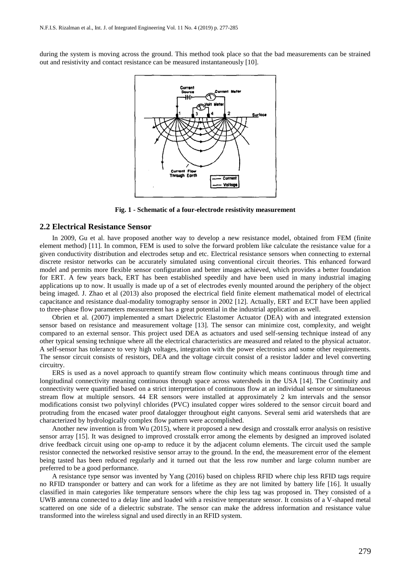during the system is moving across the ground. This method took place so that the bad measurements can be strained out and resistivity and contact resistance can be measured instantaneously [10].



**Fig. 1 - Schematic of a four-electrode resistivity measurement**

#### **2.2 Electrical Resistance Sensor**

In 2009, Gu et al. have proposed another way to develop a new resistance model, obtained from FEM (finite element method) [11]. In common, FEM is used to solve the forward problem like calculate the resistance value for a given conductivity distribution and electrodes setup and etc. Electrical resistance sensors when connecting to external discrete resistor networks can be accurately simulated using conventional circuit theories. This enhanced forward model and permits more flexible sensor configuration and better images achieved, which provides a better foundation for ERT. A few years back, ERT has been established speedily and have been used in many industrial imaging applications up to now. It usually is made up of a set of electrodes evenly mounted around the periphery of the object being imaged. J. Zhao et al (2013) also proposed the electrical field finite element mathematical model of electrical capacitance and resistance dual-modality tomography sensor in 2002 [12]. Actually, ERT and ECT have been applied to three-phase flow parameters measurement has a great potential in the industrial application as well.

Obrien et al. (2007) implemented a smart Dielectric Elastomer Actuator (DEA) with and integrated extension sensor based on resistance and measurement voltage [13]. The sensor can minimize cost, complexity, and weight compared to an external sensor. This project used DEA as actuators and used self-sensing technique instead of any other typical sensing technique where all the electrical characteristics are measured and related to the physical actuator. A self-sensor has tolerance to very high voltages, integration with the power electronics and some other requirements. The sensor circuit consists of resistors, DEA and the voltage circuit consist of a resistor ladder and level converting circuitry.

ERS is used as a novel approach to quantify stream flow continuity which means continuous through time and longitudinal connectivity meaning continuous through space across watersheds in the USA [14]. The Continuity and connectivity were quantified based on a strict interpretation of continuous flow at an individual sensor or simultaneous stream flow at multiple sensors. 44 ER sensors were installed at approximately 2 km intervals and the sensor modifications consist two polyvinyl chlorides (PVC) insulated copper wires soldered to the sensor circuit board and protruding from the encased water proof datalogger throughout eight canyons. Several semi arid watersheds that are characterized by hydrologically complex flow pattern were accomplished.

Another new invention is from Wu (2015), where it proposed a new design and crosstalk error analysis on resistive sensor array [15]. It was designed to improved crosstalk error among the elements by designed an improved isolated drive feedback circuit using one op-amp to reduce it by the adjacent column elements. The circuit used the sample resistor connected the networked resistive sensor array to the ground. In the end, the measurement error of the element being tasted has been reduced regularly and it turned out that the less row number and large column number are preferred to be a good performance.

A resistance type sensor was invented by Yang (2016) based on chipless RFID where chip less RFID tags require no RFID transponder or battery and can work for a lifetime as they are not limited by battery life [16]. It usually classified in main categories like temperature sensors where the chip less tag was proposed in. They consisted of a UWB antenna connected to a delay line and loaded with a resistive temperature sensor. It consists of a V-shaped metal scattered on one side of a dielectric substrate. The sensor can make the address information and resistance value transformed into the wireless signal and used directly in an RFID system.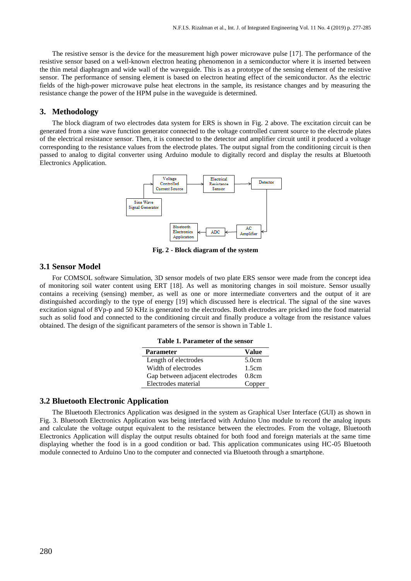The resistive sensor is the device for the measurement high power microwave pulse [17]. The performance of the resistive sensor based on a well-known electron heating phenomenon in a semiconductor where it is inserted between the thin metal diaphragm and wide wall of the waveguide. This is as a prototype of the sensing element of the resistive sensor. The performance of sensing element is based on electron heating effect of the semiconductor. As the electric fields of the high-power microwave pulse heat electrons in the sample, its resistance changes and by measuring the resistance change the power of the HPM pulse in the waveguide is determined.

#### **3. Methodology**

The block diagram of two electrodes data system for ERS is shown in Fig. 2 above. The excitation circuit can be generated from a sine wave function generator connected to the voltage controlled current source to the electrode plates of the electrical resistance sensor. Then, it is connected to the detector and amplifier circuit until it produced a voltage corresponding to the resistance values from the electrode plates. The output signal from the conditioning circuit is then passed to analog to digital converter using Arduino module to digitally record and display the results at Bluetooth Electronics Application.



**Fig. 2 - Block diagram of the system**

#### **3.1 Sensor Model**

For COMSOL software Simulation, 3D sensor models of two plate ERS sensor were made from the concept idea of monitoring soil water content using ERT [18]. As well as monitoring changes in soil moisture. Sensor usually contains a receiving (sensing) member, as well as one or more intermediate converters and the output of it are distinguished accordingly to the type of energy [19] which discussed here is electrical. The signal of the sine waves excitation signal of 8Vp-p and 50 KHz is generated to the electrodes. Both electrodes are pricked into the food material such as solid food and connected to the conditioning circuit and finally produce a voltage from the resistance values obtained. The design of the significant parameters of the sensor is shown in Table 1.

| Table 1. Parameter of the sensor |  |
|----------------------------------|--|
|                                  |  |

| <b>Parameter</b>                | Value  |
|---------------------------------|--------|
| Length of electrodes            | 5.0cm  |
| Width of electrodes             | 1.5cm  |
| Gap between adjacent electrodes | 0.8cm  |
| Electrodes material             | Copper |

#### **3.2 Bluetooth Electronic Application**

The Bluetooth Electronics Application was designed in the system as Graphical User Interface (GUI) as shown in Fig. 3. Bluetooth Electronics Application was being interfaced with Arduino Uno module to record the analog inputs and calculate the voltage output equivalent to the resistance between the electrodes. From the voltage, Bluetooth Electronics Application will display the output results obtained for both food and foreign materials at the same time displaying whether the food is in a good condition or bad. This application communicates using HC-05 Bluetooth module connected to Arduino Uno to the computer and connected via Bluetooth through a smartphone.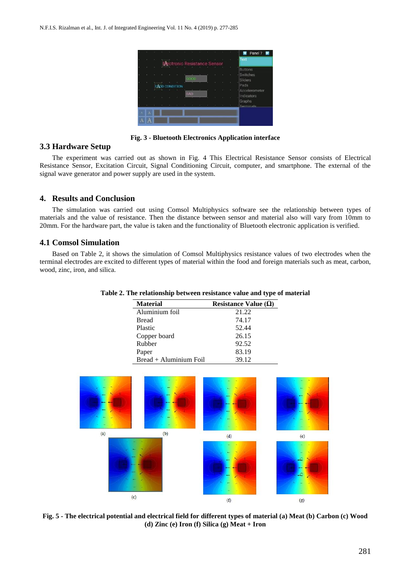

**Fig. 3 - Bluetooth Electronics Application interface**

## **3.3 Hardware Setup**

The experiment was carried out as shown in Fig. 4 This Electrical Resistance Sensor consists of Electrical Resistance Sensor, Excitation Circuit, Signal Conditioning Circuit, computer, and smartphone. The external of the signal wave generator and power supply are used in the system.

## **4. Results and Conclusion**

The simulation was carried out using Comsol Multiphysics software see the relationship between types of materials and the value of resistance. Then the distance between sensor and material also will vary from 10mm to 20mm. For the hardware part, the value is taken and the functionality of Bluetooth electronic application is verified.

### **4.1 Comsol Simulation**

Based on Table 2, it shows the simulation of Comsol Multiphysics resistance values of two electrodes when the terminal electrodes are excited to different types of material within the food and foreign materials such as meat, carbon, wood, zinc, iron, and silica.

| <b>Material</b>        | Resistance Value $(\Omega)$ |
|------------------------|-----------------------------|
| Aluminium foil         | 21.22                       |
| <b>Bread</b>           | 74.17                       |
| Plastic                | 52.44                       |
| Copper board           | 26.15                       |
| Rubber                 | 92.52                       |
| Paper                  | 83.19                       |
| Bread + Aluminium Foil | 39.12                       |

#### **Table 2. The relationship between resistance value and type of material**



**Fig. 5 - The electrical potential and electrical field for different types of material (a) Meat (b) Carbon (c) Wood (d) Zinc (e) Iron (f) Silica (g) Meat + Iron**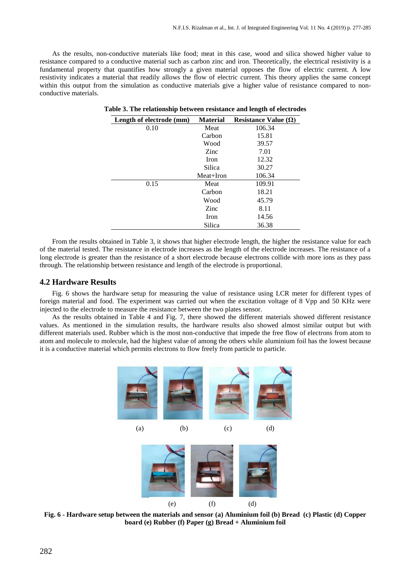As the results, non-conductive materials like food; meat in this case, wood and silica showed higher value to resistance compared to a conductive material such as carbon zinc and iron. Theoretically, the electrical resistivity is a fundamental property that quantifies how strongly a given material opposes the flow of electric current. A low resistivity indicates a material that readily allows the flow of electric current. This theory applies the same concept within this output from the simulation as conductive materials give a higher value of resistance compared to nonconductive materials.

| Length of electrode (mm) | <b>Material</b> | Resistance Value $(\Omega)$ |
|--------------------------|-----------------|-----------------------------|
| 0.10                     | Meat            | 106.34                      |
|                          | Carbon          | 15.81                       |
|                          | Wood            | 39.57                       |
|                          | Zinc            | 7.01                        |
|                          | Iron            | 12.32                       |
|                          | Silica          | 30.27                       |
|                          | Meat+Iron       | 106.34                      |
| 0.15                     | Meat            | 109.91                      |
|                          | Carbon          | 18.21                       |
|                          | Wood            | 45.79                       |
|                          | Zinc            | 8.11                        |
|                          | Iron            | 14.56                       |
|                          | Silica          | 36.38                       |

|  | Table 3. The relationship between resistance and length of electrodes |  |  |  |  |
|--|-----------------------------------------------------------------------|--|--|--|--|
|  |                                                                       |  |  |  |  |

From the results obtained in Table 3, it shows that higher electrode length, the higher the resistance value for each of the material tested. The resistance in electrode increases as the length of the electrode increases. The resistance of a long electrode is greater than the resistance of a short electrode because electrons collide with more ions as they pass through. The relationship between resistance and length of the electrode is proportional.

#### **4.2 Hardware Results**

Fig. 6 shows the hardware setup for measuring the value of resistance using LCR meter for different types of foreign material and food. The experiment was carried out when the excitation voltage of 8 Vpp and 50 KHz were injected to the electrode to measure the resistance between the two plates sensor.

As the results obtained in Table 4 and Fig. 7, there showed the different materials showed different resistance values. As mentioned in the simulation results, the hardware results also showed almost similar output but with different materials used. Rubber which is the most non-conductive that impede the free flow of electrons from atom to atom and molecule to molecule, had the highest value of among the others while aluminium foil has the lowest because it is a conductive material which permits electrons to flow freely from particle to particle.



(a) (b) (c) (d)





**Fig. 6 - Hardware setup between the materials and sensor (a) Aluminium foil (b) Bread (c) Plastic (d) Copper board (e) Rubber (f) Paper (g) Bread + Aluminium foil**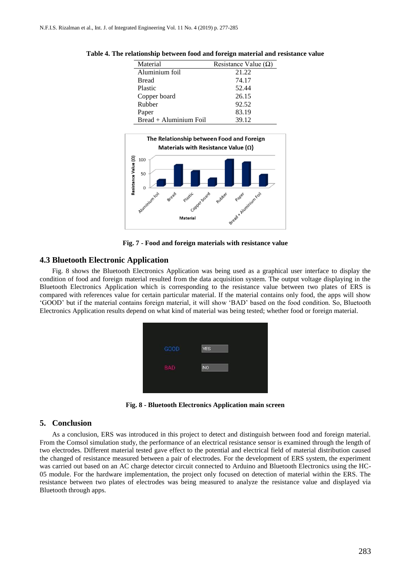| Material                 | Resistance Value $(\Omega)$ |
|--------------------------|-----------------------------|
| Aluminium foil           | 21.22                       |
| <b>Bread</b>             | 74.17                       |
| Plastic                  | 52.44                       |
| Copper board             | 26.15                       |
| Rubber                   | 92.52                       |
| Paper                    | 83.19                       |
| $Bread + Aluminium Foil$ | 39.12                       |

**Table 4. The relationship between food and foreign material and resistance value**



**Fig. 7 - Food and foreign materials with resistance value**

## **4.3 Bluetooth Electronic Application**

Fig. 8 shows the Bluetooth Electronics Application was being used as a graphical user interface to display the condition of food and foreign material resulted from the data acquisition system. The output voltage displaying in the Bluetooth Electronics Application which is corresponding to the resistance value between two plates of ERS is compared with references value for certain particular material. If the material contains only food, the apps will show 'GOOD' but if the material contains foreign material, it will show 'BAD' based on the food condition. So, Bluetooth Electronics Application results depend on what kind of material was being tested; whether food or foreign material.



**Fig. 8 - Bluetooth Electronics Application main screen**

## **5. Conclusion**

As a conclusion, ERS was introduced in this project to detect and distinguish between food and foreign material. From the Comsol simulation study, the performance of an electrical resistance sensor is examined through the length of two electrodes. Different material tested gave effect to the potential and electrical field of material distribution caused the changed of resistance measured between a pair of electrodes. For the development of ERS system, the experiment was carried out based on an AC charge detector circuit connected to Arduino and Bluetooth Electronics using the HC-05 module. For the hardware implementation, the project only focused on detection of material within the ERS. The resistance between two plates of electrodes was being measured to analyze the resistance value and displayed via Bluetooth through apps.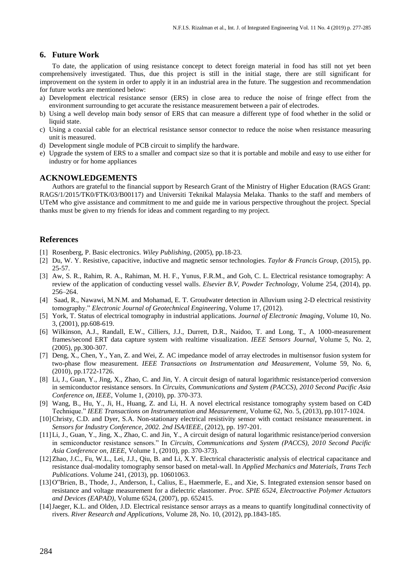## **6. Future Work**

To date, the application of using resistance concept to detect foreign material in food has still not yet been comprehensively investigated. Thus, due this project is still in the initial stage, there are still significant for improvement on the system in order to apply it in an industrial area in the future. The suggestion and recommendation for future works are mentioned below:

- a) Development electrical resistance sensor (ERS) in close area to reduce the noise of fringe effect from the environment surrounding to get accurate the resistance measurement between a pair of electrodes.
- b) Using a well develop main body sensor of ERS that can measure a different type of food whether in the solid or liquid state.
- c) Using a coaxial cable for an electrical resistance sensor connector to reduce the noise when resistance measuring unit is measured.
- d) Development single module of PCB circuit to simplify the hardware.
- e) Upgrade the system of ERS to a smaller and compact size so that it is portable and mobile and easy to use either for industry or for home appliances

## **ACKNOWLEDGEMENTS**

Authors are grateful to the financial support by Research Grant of the Ministry of Higher Education (RAGS Grant: RAGS/1/2015/TK0/FTK/03/B00117) and Universiti Teknikal Malaysia Melaka. Thanks to the staff and members of UTeM who give assistance and commitment to me and guide me in various perspective throughout the project. Special thanks must be given to my friends for ideas and comment regarding to my project.

## **References**

- [1] Rosenberg, P. Basic electronics. *Wiley Publishing*, (2005), pp.18-23.
- [2] Du, W. Y. Resistive, capacitive, inductive and magnetic sensor technologies. *Taylor & Francis Group,* (2015), pp. 25-57.
- [3] Aw, S. R., Rahim, R. A., Rahiman, M. H. F., Yunus, F.R.M., and Goh, C. L. Electrical resistance tomography: A review of the application of conducting vessel walls. *Elsevier B.V, Powder Technology*, Volume 254, (2014), pp. 256–264.
- [4] Saad, R., Nawawi, M.N.M. and Mohamad, E. T. Groudwater detection in Alluvium using 2-D electrical resistivity tomography." *Electronic Journal of Geotechnical Engineering*, Volume 17, (2012).
- [5] York, T. Status of electrical tomography in industrial applications. *Journal of Electronic Imaging*, Volume 10, No. 3, (2001), pp.608-619.
- [6] Wilkinson, A.J., Randall, E.W., Cilliers, J.J., Durrett, D.R., Naidoo, T. and Long, T., A 1000-measurement frames/second ERT data capture system with realtime visualization. *IEEE Sensors Journal*, Volume 5, No. 2, (2005), pp.300-307.
- [7] Deng, X., Chen, Y., Yan, Z. and Wei, Z. AC impedance model of array electrodes in multisensor fusion system for two-phase flow measurement. *IEEE Transactions on Instrumentation and Measurement*, Volume 59, No. 6, (2010), pp.1722-1726.
- [8] Li, J., Guan, Y., Jing, X., Zhao, C. and Jin, Y. A circuit design of natural logarithmic resistance/period conversion in semiconductor resistance sensors. In *Circuits, Communications and System (PACCS), 2010 Second Pacific Asia Conference on, IEEE*, Volume 1, (2010), pp. 370-373.
- [9] Wang, B., Hu, Y., Ji, H., Huang, Z. and Li, H. A novel electrical resistance tomography system based on C4D Technique." *IEEE Transactions on Instrumentation and Measurement*, Volume 62, No. 5, (2013), pp.1017-1024.
- [10] Christy, C.D. and Dyer, S.A. Non-stationary electrical resistivity sensor with contact resistance measurement. in *Sensors for Industry Conference, 2002. 2nd ISA/IEEE*, (2012), pp. 197-201.
- [11]Li, J., Guan, Y., Jing, X., Zhao, C. and Jin, Y., A circuit design of natural logarithmic resistance/period conversion in semiconductor resistance sensors." In *Circuits, Communications and System (PACCS), 2010 Second Pacific Asia Conference on, IEEE,* Volume 1, (2010), pp. 370-373).
- [12]Zhao, J.C., Fu, W.L., Lei, J.J., Qiu, B. and Li, X.Y. Electrical characteristic analysis of electrical capacitance and resistance dual-modality tomography sensor based on metal-wall. In *Applied Mechanics and Materials*, *Trans Tech Publications*. Volume 241, (2013), pp. 10601063.
- [13]O"Brien, B., Thode, J., Anderson, I., Calius, E., Haemmerle, E., and Xie, S. Integrated extension sensor based on resistance and voltage measurement for a dielectric elastomer. *Proc. SPIE 6524, Electroactive Polymer Actuators and Devices (EAPAD),* Volume 6524, (2007), pp. 652415.
- [14]Jaeger, K.L. and Olden, J.D. Electrical resistance sensor arrays as a means to quantify longitudinal connectivity of rivers. *River Research and Applications,* Volume 28, No. 10, (2012), pp.1843-185.